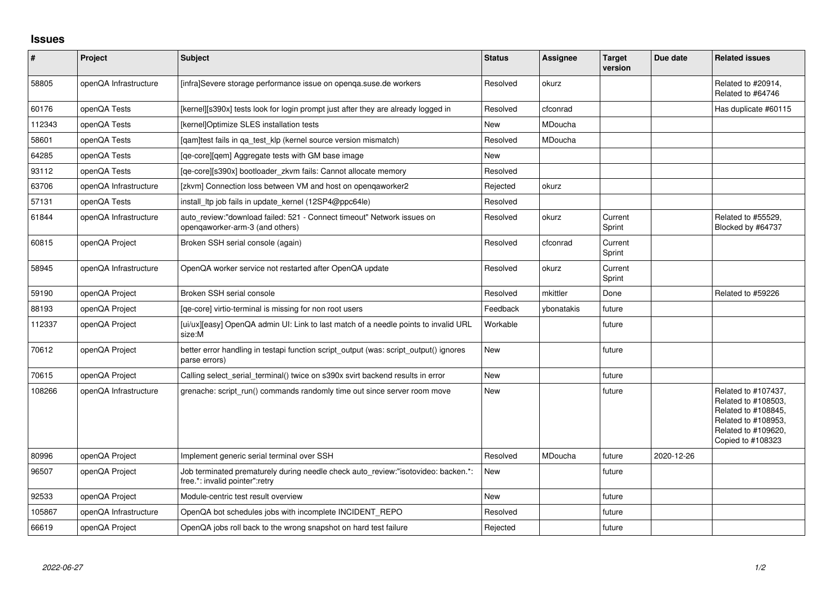## **Issues**

| $\vert$ # | Project               | Subject                                                                                                             | <b>Status</b> | Assignee   | <b>Target</b><br>version | Due date   | <b>Related issues</b>                                                                                                                |
|-----------|-----------------------|---------------------------------------------------------------------------------------------------------------------|---------------|------------|--------------------------|------------|--------------------------------------------------------------------------------------------------------------------------------------|
| 58805     | openQA Infrastructure | [infra]Severe storage performance issue on openga.suse.de workers                                                   | Resolved      | okurz      |                          |            | Related to #20914,<br>Related to #64746                                                                                              |
| 60176     | openQA Tests          | [kernel][s390x] tests look for login prompt just after they are already logged in                                   | Resolved      | cfconrad   |                          |            | Has duplicate #60115                                                                                                                 |
| 112343    | openQA Tests          | [kernel]Optimize SLES installation tests                                                                            | <b>New</b>    | MDoucha    |                          |            |                                                                                                                                      |
| 58601     | openQA Tests          | [gam]test fails in ga test klp (kernel source version mismatch)                                                     | Resolved      | MDoucha    |                          |            |                                                                                                                                      |
| 64285     | openQA Tests          | [ge-core][gem] Aggregate tests with GM base image                                                                   | <b>New</b>    |            |                          |            |                                                                                                                                      |
| 93112     | openQA Tests          | [qe-core][s390x] bootloader_zkvm fails: Cannot allocate memory                                                      | Resolved      |            |                          |            |                                                                                                                                      |
| 63706     | openQA Infrastructure | [zkvm] Connection loss between VM and host on opengaworker2                                                         | Rejected      | okurz      |                          |            |                                                                                                                                      |
| 57131     | openQA Tests          | install_ltp job fails in update_kernel (12SP4@ppc64le)                                                              | Resolved      |            |                          |            |                                                                                                                                      |
| 61844     | openQA Infrastructure | auto_review:"download failed: 521 - Connect timeout" Network issues on<br>openqaworker-arm-3 (and others)           | Resolved      | okurz      | Current<br>Sprint        |            | Related to #55529,<br>Blocked by #64737                                                                                              |
| 60815     | openQA Project        | Broken SSH serial console (again)                                                                                   | Resolved      | cfconrad   | Current<br>Sprint        |            |                                                                                                                                      |
| 58945     | openQA Infrastructure | OpenQA worker service not restarted after OpenQA update                                                             | Resolved      | okurz      | Current<br>Sprint        |            |                                                                                                                                      |
| 59190     | openQA Project        | Broken SSH serial console                                                                                           | Resolved      | mkittler   | Done                     |            | Related to #59226                                                                                                                    |
| 88193     | openQA Project        | [ge-core] virtio-terminal is missing for non root users                                                             | Feedback      | ybonatakis | future                   |            |                                                                                                                                      |
| 112337    | openQA Project        | [ui/ux][easy] OpenQA admin UI: Link to last match of a needle points to invalid URL<br>size:M                       | Workable      |            | future                   |            |                                                                                                                                      |
| 70612     | openQA Project        | better error handling in testapi function script_output (was: script_output() ignores<br>parse errors)              | <b>New</b>    |            | future                   |            |                                                                                                                                      |
| 70615     | openQA Project        | Calling select serial terminal() twice on s390x svirt backend results in error                                      | <b>New</b>    |            | future                   |            |                                                                                                                                      |
| 108266    | openQA Infrastructure | grenache: script run() commands randomly time out since server room move                                            | New           |            | future                   |            | Related to #107437,<br>Related to #108503,<br>Related to #108845,<br>Related to #108953,<br>Related to #109620,<br>Copied to #108323 |
| 80996     | openQA Project        | Implement generic serial terminal over SSH                                                                          | Resolved      | MDoucha    | future                   | 2020-12-26 |                                                                                                                                      |
| 96507     | openQA Project        | Job terminated prematurely during needle check auto_review:"isotovideo: backen.*:<br>free.*: invalid pointer":retry | New           |            | future                   |            |                                                                                                                                      |
| 92533     | openQA Project        | Module-centric test result overview                                                                                 | <b>New</b>    |            | future                   |            |                                                                                                                                      |
| 105867    | openQA Infrastructure | OpenQA bot schedules jobs with incomplete INCIDENT_REPO                                                             | Resolved      |            | future                   |            |                                                                                                                                      |
| 66619     | openQA Project        | OpenQA jobs roll back to the wrong snapshot on hard test failure                                                    | Rejected      |            | future                   |            |                                                                                                                                      |